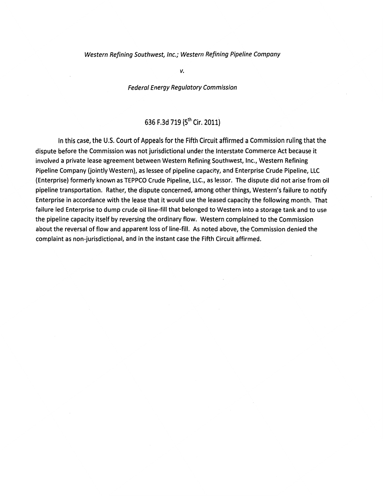#### Western Refining Southwest, Inc.; Western Refining Pipeline Company

*v.* 

# Federal Energy Regulatory Commission

# 636 F.3d 719 (5<sup>th</sup> Cir. 2011)

In this case, the U.S. Court of Appeals for the Fifth Circuit affirmed a Commission ruling that the dispute before the Commission was not jurisdictional under the Interstate Commerce Act because it involved a private lease agreement between Western Refining Southwest, Inc., Western Refining Pipeline Company (jointly Western), as lessee of pipeline capacity, and Enterprise Crude Pipeline, LLC (Enterprise) formerly known as TEPPCO Crude Pipeline, LLC., as lessor. The dispute did not arise from oil pipeline transportation. Rather, the dispute concerned, among other things, Western's failure to notify Enterprise in accordance with the lease that it would use the leased capacity the following month. That failure led Enterprise to dump crude oil line-fill that belonged to Western into a storage tank and to use the pipeline capacity itself by reversing the ordinary flow. Western complained to the Commission about the reversal of flow and apparent loss of line-fill. As noted above, the Commission denied the complaint as non-jurisdictional, and in the instant case the Fifth Circuit affirmed.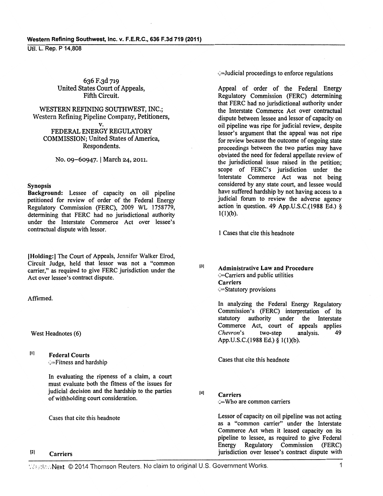636 F.3d 719 United States Court of Appeals, Fifth Circuit.

WESTERN REFINING SOUTHWEST, INC.; Western Refining Pipeline Company, Petitioners,

v.

FEDERAL ENERGY REGULATORY COMMISSION; United States of America, Respondents.

No. 09-60947. | March 24, 2011.

#### Synopsis

Background: Lessee of capacity on oil pipeline petitioned for review of order of the Federal Energy Regulatory Commission (FERC), 2009 WL 1758779, determining that FERC had no jurisdictional authority under the Interstate Commerce Act over lessee's contractual dispute with lessor.

!Holding:] The Court of Appeals, Jennifer Walker Elrod, Circuit Judge, held that lessor was not a "common carrier," as required to give FERC jurisdiction under the Act over lessee's contract dispute.

Affirmed.

West Headnotes (6)

 $[1]$ Federal Courts Fitness and hardship

In evaluating the ripeness of a claim, a court must evaluate both the fitness of the issues for judicial decision and the hardship to the parties of withholding court consideration.

Cases that cite this headnote

#### Ill Carriers

•?Judicial proceedings to enforce regulations

Appeal of order of the Federal Energy Regulatory Commission (FERC) determining that FERC had no jurisdictional authority under the Interstate Commerce Act over contractual dispute between lessee and lessor of capacity on oil pipeline was ripe for judicial review, despite lessor's argument that the appeal was not ripe for review because the outcome of ongoing state proceedings between the two parties may have obviated the need for federal appellate review of the jurisdictional issue raised in the petition; scope of FERC's jurisdiction under the Interstate Commerce Act was not being considered by any state court, and lessee would have suffered hardship by not having access to a judicial forum to review the adverse agency action in question. 49 App.U.S.C.(1988 Ed.) §  $1(1)(b)$ .

I Cases that cite this headnote

(3( Administrative Law and Procedure  $\epsilon$   $\approx$  Carriers and public utilities **Carriers** ( ... Statutory provisions

> In analyzing the Federal Energy Regulatory Commission's (FERC) interpretation of its<br>statutory authority under the Interstate authority under the Interstate Commerce Act, court of appeals applies *Chevron's* two-step analysis. 49 App.U.S.C.(1988 Ed.)§ l(l)(b).

Cases that cite this headnote

(4] **Carriers** 

(=Who are common carriers

Lessor of capacity on oil pipeline was not acting as a "common carrier'' under the Interstate Commerce Act when it leased capacity on its pipeline to lessee, as required to give Federal Energy Regulatory Commission (FERC) jurisdiction over lessee's contract dispute with

WastlawNext © 2014 Thomson Reuters. No claim to original U.S. Government Works. 1 1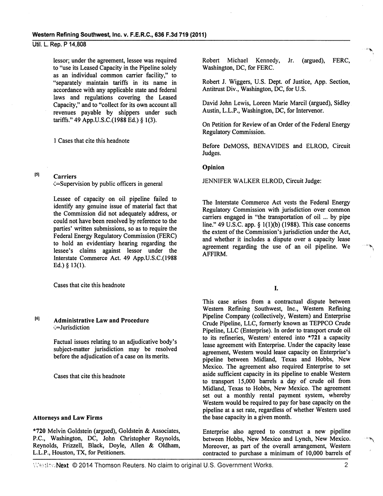lessor; under the agreement, lessee was required to "use its Leased Capacity in the Pipeline solely as an individual common carrier facility," to "separately maintain tariffs in its name in accordance with any applicable state and federal laws and regulations covering the Leased Capacity," and to "collect for its own account all revenues payable by shippers under such tariffs." 49 App.U.S.C.(1988 Ed.) § 1(3).

1 Cases that cite this headnote

(S)

Carriers

(=Supervision by public officers in general

Lessee of capacity on oil pipeline failed to identify any genuine issue of material fact that the Commission did not adequately address, or could not have been resolved by reference to the parties' written submissions, so as to require the Federal Energy Regulatory Commission (FERC) to hold an evidentiary hearing regarding the lessee's claims against lessor under the Interstate Commerce Act. 49 App.U.S.C.(1988 Ed.) § 13(1).

Cases that cite this headnote

# 161 Administrative Law and Procedure ':=Jurisdiction

Factual issues relating to an adjudicative body's subject-matter jurisdiction may be resolved before the adjudication of a case on its merits.

Cases that cite this headnote

#### Attorneys and Law Firms

\*720 Melvin Goldstein (argued), Goldstein & Associates, P.C., Washington, DC, John Christopher Reynolds, Reynolds, Frizzell, Black, Doyle, Allen & Oldham, L.L.P., Houston, TX, for Petitioners.

Robert Michael Kennedy, Jr. (argued), FERC, Washington, DC, for FERC.

Robert J. Wiggers, U.S. Dept. of Justice, App. Section, Antitrust Div., Washington, DC, for U.S.

David John Lewis, Loreen Marie Marcil (argued), Sidley Austin, L.L.P., Washington, DC, for Intervenor.

On Petition for Review of an Order of the Federal Energy Regulatory Commission.

Before DeMOSS, BENAVIDES and ELROD, Circuit Judges.

#### Opinion

JENNIFER WALKER ELROD, Circuit Judge:

The Interstate Commerce Act vests the Federal Energy Regulatory Commission with jurisdiction over common carriers engaged in "the transportation of oil ... by pipe line." 49 U.S.C. app. § 1(1)(b) (1988). This case concerns the extent of the Commission's jurisdiction under the Act, and whether it includes a dispute over a capacity lease agreement regarding the use of an oil pipeline. We AFFIRM.

I.

This case arises from a contractual dispute between Western Refining Southwest, Inc., Western Refining Pipeline Company (collectively, Western) and Enterprise Crude Pipeline, LLC, formerly known as TEPPCO Crude Pipeline, LLC (Enterprise). In order to transport crude oil to its refineries, Western<sup>1</sup> entered into \*721 a capacity lease agreement with Enterprise. Under the capacity lease agreement, Western would lease capacity on Enterprise's pipeline between Midland, Texas and Hobbs, New Mexico. The agreement also required Enterprise to set aside sufficient capacity in its pipeline to enable Western to transport 15,000 barrels a day of crude oil from Midland, Texas to Hobbs, New Mexico. The agreement set out a monthly rental payment system, whereby Western would be required to pay for base capacity on the pipeline at a set rate, regardless of whether Western used the base capacity in a given month.

Enterprise also agreed to construct a new pipeline between Hobbs, New Mexico and Lynch, New Mexico. Moreover, as part of the overall arrangement, Western contracted to purchase a minimum of 10,000 barrels of

Westlaw Next © 2014 Thomson Reuters. No claim to original U.S. Government Works. 2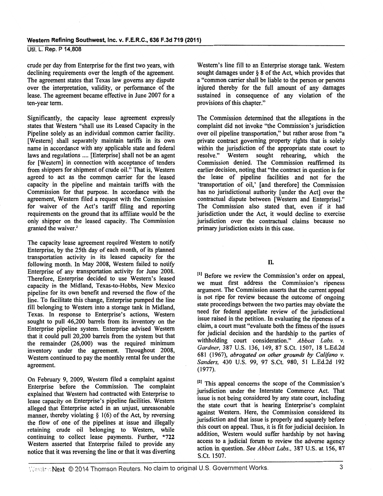crude per day from Enterprise for the first two years, with declining requirements over the length of the agreement. The agreement states that Texas law governs any dispute over the interpretation, validity, or performance of the lease. The agreement became effective in June 2007 for a ten-year term.

Significantly, the capacity lease agreement expressly states that Western "shall use its Leased Capacity in the Pipeline solely as an individual common carrier facility. [Western] shall separately maintain tariffs in its own name in accordance with any applicable state and federal laws and regulations .... [Enterprise] shall not be an agent for [Western] in connection with acceptance of tenders from shippers for shipment of crude oil." That is, Western agreed to act as the common carrier for the leased capacity in the pipeline and maintain tariffs with the Commission for that purpose. In accordance with the agreement, Western filed a request with the Commission for waiver of the Act's tariff filing and reporting requirements on the ground that its affiliate would be the only shipper on the leased capacity. The Commission granted the waiver.<sup>2</sup>

The capacity lease agreement required Western to notify Enterprise, by the 25th day of each month, of its planned transportation activity in its leased capacity for the following month. In May 2008, Western failed to notify Enterprise of any transportation activity for June 2008. Therefore, Enterprise decided to use Western's leased capacity in the Midland, Texas-to-Hobbs, New Mexico pipeline for its own benefit and reversed the flow of the line. To facilitate this change, Enterprise pumped the line fill belonging to Western into a storage tank in Midland, Texas. In response to Enterprise's actions, Western sought to pull 46,200 barrels from its inventory on the Enterprise pipeline system. Enterprise advised Western that it could pull 20,200 barrels from the system but that the remainder (26,000) was the required minimum inventory under the agreement. Throughout 2008, Western continued to pay the monthly rental fee under the agreement.

On February 9, 2009, Western filed a complaint against Enterprise before the Commission. The complaint explained that Western had contracted with Enterprise to lease capacity on Enterprise's pipeline facilities. Western alleged that Enterprise acted in an unjust, unreasonable manner, thereby violating  $\S$  1(6) of the Act, by reversing the flow of one of the pipelines at issue and illegally retaining crude oil belonging to Western, while continuing to collect lease payments. Further, \*722 Western asserted that Enterprise failed to provide any notice that it was reversing the line or that it was diverting

Western's line fill to an Enterprise storage tank. Western sought damages under § 8 of the Act, which provides that a "common carrier shall be liable to the person or persons injured thereby for the full amount of any damages sustained in consequence of any violation of the provisions of this chapter."

The Commission determined that the allegations in the complaint did not invoke "the Commission's jurisdiction over oil pipeline transportation," but rather arose from "a private contract governing property rights that is solely within the jurisdiction of the appropriate state court to<br>resolve." Western sought rehearing, which the resolve." Western sought rehearing, Commission denied. The Commission reaffrrmed its earlier decision, noting that "the contract in question is for the lease of pipeline facilities and not for the 'transportation of oil,' [and therefore] the Commission has no jurisdictional authority [under the Act] over the contractual dispute between [Western and Enterprise]." The Commission also stated that, even if it had jurisdiction under the Act, it would decline to exercise jurisdiction over the contractual claims because no primary jurisdiction exists in this case.

# II.

<sup>[1]</sup> Before we review the Commission's order on appeal, we must first address the Commission's ripeness argument. The Commission asserts that the current appeal is not ripe for review because the outcome of ongoing state proceedings between the two parties may obviate the need for federal appellate review of the jurisdictional issue raised in the petition. In evaluating the ripeness of a claim, a court must "evaluate both the fitness of the issues for judicial decision and the hardship to the parties of withholding court consideration." *Abbott Labs. v. Gardner,* 387 U.S. 136, 149, 87 S.Ct. 1507, 18 L.Ed.2d 681 (1967), *abrogated on other grounds by Califano v. Sanders,* 430 U.S. 99, 97 S.Ct. 980, 51 L.Ed.2d 192 (1977).

<sup>[2]</sup> This appeal concerns the scope of the Commission's jurisdiction under the Interstate Commerce Act. That issue is not being considered by any state court, including the state court that is hearing Enterprise's complaint against Western. Here, the Commission considered its jurisdiction and that issue is properly and squarely before this court on appeal. Thus, it is fit for judicial decision. In addition, Western would suffer hardship by not having access to a judicial forum to review the adverse agency action in question. *See Abbott Labs.,* 387 U.S. at 156, 87 S.Ct. 1507.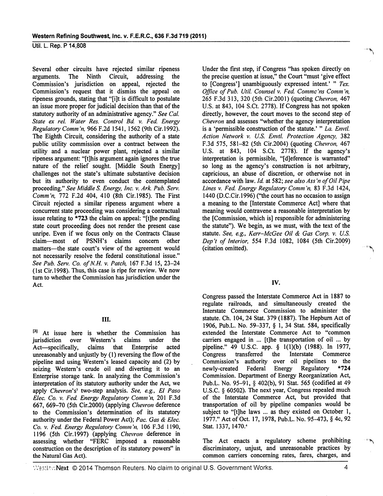Several other circuits have rejected similar ripeness arguments. The Ninth Circuit, addressing the Commission's jurisdiction on appeal, rejected the Commission's request that it dismiss the appeal on ripeness grounds, stating that "[i]t is difficult to postulate an issue more proper for judicial decision than that of the statutory authority of an administrative agency." *See Cal.*  State ex rel. Water Res. Control Bd. v. Fed. Energy *Regulatory Comm'n,* 966 F.2d 1541, 1562 (9th Cir.I992). The Eighth Circuit, considering the authority of a state public utility commission over a contract between the utility and a nuclear power plant, rejected a similar ripeness argument: "[t]his argument again ignores the true nature of the relief sought. [Middle South Energy] challenges not the state's ultimate substantive decision but its authority to even conduct the contemplated proceeding." *See Middle S. Energy, Inc. v. Ark. Pub. Serv. Comm'n,* 772 F.2d 404, 410 (8th Cir.l985). The First Circuit rejected a similar ripeness argument where a concurrent state proceeding was considering a contractual issue relating to \*723 the claim on appeal: "[t]he pending state court proceeding does not render the present case unripe. Even if we focus only on the Contracts Clause claim-most of PSNH's claims concern other matters-the state court's view of the agreement would not necessarily resolve the federal constitutional issue." *See Pub. Serv. Co. of N.H. v. Patch,* 167 F .3d 15, 23-24 (lst Cir.l998). Thus, this case is ripe for review. We now tum to whether the Commission has jurisdiction under the Act.

#### III.

 $^{[3]}$  At issue here is whether the Commission has jurisdiction over Western's claims under the jurisdiction over Western's claims under the Act-specifically, claims that Enterprise acted unreasonably and unjustly by (1) reversing the flow of the pipeline and using Western's leased capacity and (2) by seizing Western's crude oil and diverting it to an Enterprise storage tank. In analyzing the Commission's interpretation of its statutory authority under the Act, we apply *Chevron's1* two-step analysis. *See, e.g., El Paso Elec. Co. v. Fed Energy Regulatory Comm 'n,* 201 F.3d 667, 669-70 (5th Cir.2000) (applying *Chevron* deference to the Commission's determination of its statutory authority under the Federal Power Act); *Pac. Gas* & *Elec. Co. v. Fed. Energy Regulatory Comm'n, 106 F.3d 1190,* 1196 (5th Cir.l997) (applying *Chevron* deference in assessing whether "FERC imposed a reasonable construction on the description of its statutory powers" in the Natural Gas Act).

Under the first step, if Congress "has spoken directly on the precise question at issue," the Court "must 'give effect to [Congress'] unambiguously expressed intent.' " *Tex. Office of Pub. Util. Counsel v. Fed. Commc'ns Comm'n,* 265 F.3d 313, 320 (5th Cir.2001) (quoting *Chevron,* 467 U.S. at 843, 104 S.Ct. 2778). If Congress has not spoken directly, however, the court moves to the second step of *Chevron* and assesses ''whether the agency interpretation is a 'permissible construction of the statute.' " *La. Envtl. Action Network v. U.S. Envtl. Protection Agency,* 382 F.3d 575, 581-82 (5th Cir.2004) (quoting *Chevron,* 467 U.S. at 843, 104 S.Ct. 2778). If the agency's interpretation is permissible, "[d]eference is warranted" so long as the agency's construction is not arbitrary, capricious, an abuse of discretion, or otherwise not in accordance with law. */d.* at 582; *see also Ass 'n of Oil Pipe Lines v. Fed. Energy Regulatory Comm 'n,* 83 F.3d 1424, 1440 (D.C.Cir.l996) (''the court has no occasion to assign a meaning to the [Interstate Commerce Act] where that meaning would contravene a reasonable interpretation by the [Commission, which is] responsible for administering the statute"). We begin, as we must, with the text of the statute. *See, e.g., Kerr-McGee Oil* & *Gas Corp. v. U.S. Dep't of Interior,* 554 F.3d 1082, 1084 (5th Cir.2009} (citation omitted).

## IV.

Congress passed the Interstate Commerce Act in 1887 to regulate railroads, and simultaneously created the Interstate Commerce Commission to administer the statute. Ch. 104,24 Stat. 379 (1887). The Hepburn Act of 1906, Pub.L. No. 59-337, § 1, 34 Stat. 584, specifically extended the Interstate Commerce Act to "common carriers engaged in ... [t]he transportation of oil ... by pipeline." 49 U.S.C. app. § 1(1)(b) (1988). In 1977, Congress transferred the Interstate Commerce Commission's authority over oil pipelines to the newly-created Federal Energy Regulatory \*724 Commission. Department of Energy Reorganization Act, Pub.L. No. 95-91, § 402(b), 91 Stat. 565 (codified at 49 U.S.C. § 60502). The next year, Congress repealed much of the Interstate Commerce Act, but provided that transportation of oil by pipeline companies would be subject to "[t]he laws ... as they existed on October I, 1977." Act of Oct. 17, 1978, Pub.L. No. 95-473, § 4c, 92 Stat. 1337, 1470.<sup>4</sup>

The Act enacts a regulatory scheme prohibiting discriminatory, unjust, and unreasonable practices by common carriers concerning rates, fares, charges, and

WestlawNext · © 2014 Thomson Reuters. No claim to original U.S. Government Works. 4 4

··1111~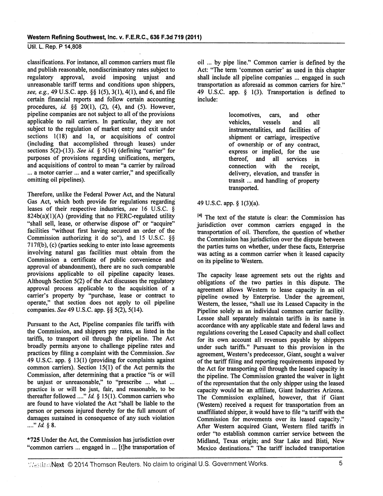classifications. For instance, all common carriers must file and publish reasonable, nondiscriminatory rates subject to regulatory approval, avoid imposing unjust and unreasonable tariff terms and conditions upon shippers, *see, e.g.,* 49 U.S.C. app. §§ 1(5), 3(1), 4(1), and 6, and file certain fmancial reports and follow certain accounting procedures, *id* §§ 20(1), (2), (4), and (5). However, pipeline companies are not subject to all of the provisions applicable to rail carriers. In particular, they are not subject to the regulation of market entry and exit under sections  $1(18)$  and 1a, or acquisitions of control (including that accomplished through leases) under sections 5(2)-(13). *See id* § 5(14) (defining "carrier" for purposes of provisions regarding unifications, mergers, and acquisitions of control to mean "a carrier by railroad ... a motor carrier ... and a water carrier," and specifically omitting oil pipelines).

Therefore, unlike the Federal Power Act, and the Natural Gas Act, which both provide for regulations regarding leases of their respective industries, *see* 16 U.S.C. §  $824b(a)(1)(A)$  (providing that no FERC-regulated utility "shall sell, lease, or otherwise dispose of" or "acquire" facilities "without first having secured an order of the Commission authorizing it do so"), and 15 U.S.C. §§  $717f(b)$ , (c) (parties seeking to enter into lease agreements involving natural gas facilities must obtain from the Commission a certificate of public convenience and approval of abandonment), there are no such comparable provisions applicable to oil pipeline capacity leases. Although Section 5(2) of the Act discusses the regulatory approval process applicable to the acquisition of a carrier's property by "purchase, lease or contract to operate," that section does not apply to oil pipeline companies. *See* 49 U.S.C. app. §§ 5(2), 5(14).

Pursuant to the Act, Pipeline companies file tariffs with the Commission, and shippers pay rates, as listed in the tariffs, to transport oil through the pipeline. The Act broadly permits anyone to challenge pipeline rates and practices by filing a complaint with the Commission. *See*  49 U.S.C. app. § 13(1) (providing for complaints against common carriers). Section 15{1) of the Act permits the Commission, after determining that a practice "is or will be unjust or unreasonable," to "prescribe ... what ... practice is or will be just, fair, and reasonable, to be thereafter followed ...."  $Id. \S$  15(1). Common carriers who are found to have violated the Act "shall be liable to the person or persons injured thereby for the full amount of damages sustained in consequence of any such violation ...." *Id.* § 8.

\*725 Under the Act, the Commission has jurisdiction over "common carriers ... engaged in ... [t)he transportation of

oil ... by pipe line." Common carrier is defined by the Act: "The term 'common carrier' as used in this chapter shall include all pipeline companies ... engaged in such transportation as aforesaid as common carriers for hire." 49 U.S.C. app. § 1(3). Transportation is defmed to include:

> locomotives, cars, and other vehicles, vessels and all instrumentalities, and facilities of shipment or carriage, irrespective of ownership or of any contract, express or implied, for the use thereof, and all services in<br>connection with the receipt. connection with the receipt, delivery, elevation, and transfer in transit ... and handling of property transported.

# 49 U.S.C. app. § 1(3)(a).

<sup>14</sup> The text of the statute is clear: the Commission has jurisdiction over common carriers engaged in the transportation of oil. Therefore, the question of whether the Commission has jurisdiction over the dispute between the parties turns on whether, under these facts, Enterprise was acting as a common carrier when it leased capacity on its pipeline to Western.

The capacity lease agreement sets out the rights and obligations of the two parties in this dispute. The agreement allows Western to lease capacity in an oil pipeline owned by Enterprise. Under the agreement, Western, the lessee, "shall use its Leased Capacity in the Pipeline solely as an individual common carrier facility. Lessee shall separately maintain tariffs in its name in accordance with any applicable state and federal laws and regulations covering the Leased Capacity and shall collect for its own account all revenues payable by shippers under such tariffs." Pursuant to this provision in the agreement, Western's predecessor, Giant, sought a waiver of the tariff filing and reporting requirements imposed by the Act for transporting oil through the leased capacity in the pipeline. The Commission granted the waiver in light of the representation that the only shipper using the leased capacity would be an affiliate, Giant Industries Arizona. The Commission explained, however, that if Giant (Western) received a request for transportation from an unaffiliated shipper, it would have to file "a tariff with the Commission for movements over its leased capacity." After Western acquired Giant, Western filed tariffs in order "to establish common carrier service between the Midland, Texas origin; and Star Lake and Bisti, New Mexico destinations." The tariff included transportation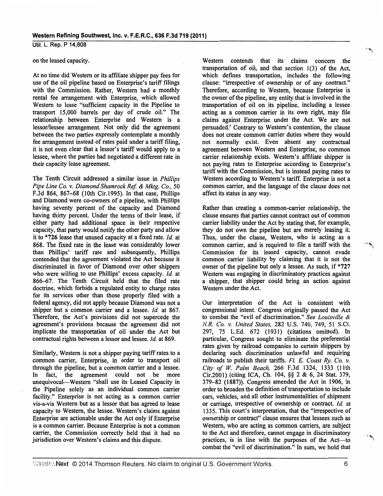# on the leased capacity.

At no time did Western or its affiliate shipper pay fees for use of the oil pipeline based on Enterprise's tariff filings with the Commission. Rather, Western had a monthly rental fee arrangement with Enterprise, which allowed Western to lease "sufficient capacity in the Pipeline to transport 15,000 barrels per day of crude oil." The relationship between Enterprise and Western is a lessor/lessee arrangement. Not only did the agreement between the two parties expressly contemplate a monthly fee arrangement instead of rates paid under a tariff filing, it is not even clear that a lessor's tariff would apply to a lessee, where the parties had negotiated a different rate in their capacity lease agreement.

The Tenth Circuit addressed a similar issue in *Phillips Pipe Line Co. v. Diamond Shamrock Ref.* & *Mktg. Co.,* SO F.3d 864, 867-68 (lOth Cir.l995). In that case, Phillips and Diamond were co-owners of a pipeline, with Phillips having seventy percent of the capacity and Diamond having thirty percent. Under the terms of their lease, if either party had additional space in their respective capacity, that party would notify the other party and allow it to \*726 lease that unused capacity at a fixed rate. *Id.* at 868. The fixed rate in the lease was considerably lower than Phillips' tariff rate and subsequently, Phillips contended that the agreement violated the Act because it discriminated in favor of Diamond over other shippers who were willing to use Phillips' excess capacity. Id. at 866-67. The Tenth Circuit held that the filed rate doctrine, which forbids a regulated entity to charge rates for its services other than those properly filed with a federal agency, did not apply because Diamond was not a shipper but a common carrier and a lessee. *Id.* at 867. Therefore, the Act's provisions did not supercede the agreement's provisions because the agreement did not implicate the transportation of oil under the Act but contractual rights between a lessor and lessee. *Id* at 869.

Similarly, Western is not a shipper paying tariff rates to a common carrier, Enterprise, in order to transport oil through the pipeline, but a common carrier and a lessee. In fact, the agreement could not be more unequivocal-Western "shall use its Leased Capacity in the Pipeline solely as an individual common carrier facility." Enterprise is not acting as a common carrier vis-a-vis Western but as a lessor that has agreed to lease capacity to Western, the lessee. Western's claims against Enterprise are actionable under the Act only if Enterprise is a common carrier. Because Enterprise is not a common carrier, the Commission correctly held that it had no jurisdiction over Western's claims and this dispute.

Western contends that its claims concern the transportation of oil, and that section  $1(3)$  of the Act, which defines transportation, includes the following clause: "irrespective of ownership or of any contract." Therefore, according to Western, because Enterprise is the owner of the pipeline, any entity that is involved in the transportation of oil on its pipeline, including a lessee acting as a common carrier in its own right, may file claims against Enterprise under the Act. We are not persuaded.<sup>5</sup> Contrary to Western's contention, the clause does not create common carrier duties where they would not normally exist. Even absent any contractual agreement between Western and Enterprise, no common carrier relationship exists. Western's affiliate shipper is not paying rates to Enterprise according to Enterprise's tariff with the Commission, but is instead paying rates to Western according to Western's tariff. Enterprise is not a common carrier, and the language of the clause does not affect its status in any way.

Rather than creating a common-carrier relationship, the clause ensures that parties cannot contract out of common carrier liability under the Act by stating that, for example, they do not own the pipeline but are merely leasing it. Thus, under the clause, Western, who is acting as a common carrier, and is required to file a tariff with the Commission for its leased capacity, cannot evade common carrier liability by claiming that it is not the owner of the pipeline but only a lessee. As such, if \*727 Western was engaging in discriminatory practices against a shipper, that shipper could bring an action against Western under the Act.

Our interpretation of the Act is consistent with congressional intent. Congress originally passed the Act to combat the "evil of discrimination." *See Louisville* & *N.R. Co. v. United States,* 282 U.S. 740, 749, 51 S.Ct. 297, 75 L.Ed. 672 (1931) (citations omitted). In particular, Congress sought to eliminate the preferential rates given by railroad companies to certain shippers by declaring such discrimination unlawful and requiring railroads to publish their tariffs. *Fl. E. Coast Ry. Co. v. City of W. Palm Beach,* 266 F.3d 1324, 1333 (11th Cir.2001) (citing ICA, Ch. 104, §§ 2 & 6, 24 Stat. 379, 379-82 (1887)). Congress amended the Act in 1906, in order to broaden the definition of transportation to include cars, vehicles, and all other instrumentalities of shipment or carriage; irrespective of ownership or contract. *Id* at 1335. This court's interpretation, that the "irrespective of ownership or contract" clause ensures that lessees such as Western, who are acting as common carriers, are subject to the Act and therefore, cannot engage in discriminatory practices, is in line with the purposes of the Act-to combat the "evil of discrimination." In sum, we hold that 'ifll~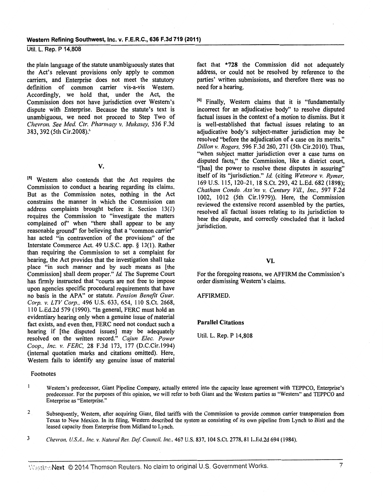the plain language of the statute unambiguously states that the Act's relevant provisions only apply to common carriers, and Enterprise does not meet the statutory definition of common carrier vis-a-vis Western. Accordingly, we hold that, under the Act, the Commission does not have jurisdiction over Western's dispute with Enterprise. Because the statute's text is unambiguous, we need not proceed to Step Two of *Chevron. See Med. Ctr. Pharmacy v. Mukasey,* 536 F.3d 383, 392 (5th Cir.2008).<sup>6</sup>

v.

<sup>[5]</sup> Western also contends that the Act requires the Commission to conduct a hearing regarding its claims. But as the Commission notes, nothing in the Act constrains the manner in which the Commission can address complaints brought before it. Section 13(1) requires the Commission to "investigate the matters complained of" when "there shall appear to be any reasonable ground" for believing that a "common carrier" has acted "in contravention of the provisions" of the Interstate Commerce Act. 49 U.S.C. app. § 13(1). Rather than requiring the Commission to set a complaint for hearing, the Act provides that the investigation shall take place "in such manner and by such means as [the Commission] shall deem proper." *Id.* The Supreme Court has firmly instructed that "courts are not free to impose upon agencies specific procedural requirements that have no basis in the APA" or statute. *Pension Benefit Guar. Corp. v. LTV Corp.,* 496 U.S. 633, 654, 110 S.Ct. 2668, II 0 L.Ed.2d 579 ( 1990). "In general, FERC must hold an evidentiary hearing only when a genuine issue of material fact exists, and even then, FERC need not conduct such a hearing if [the disputed issues] may be adequately resolved on the written record." *Cajun Elec. Power Coop., Inc. v. FERC,* 28 F.3d 173, 177 (D.C.Cir.1994) (internal quotation marks and citations omitted). Here, Western fails to identify any genuine issue of material

#### Footnotes

fact that \*728 the Commission did not adequately address, or could not be resolved by reference to the parties' written submissions, and therefore there was no need for a hearing.

<sup>10</sup> Finally, Western claims that it is "fundamentally incorrect for an adjudicative body" to resolve disputed factual issues in the context of a motion to dismiss. But it is well-established that factual issues relating to an adjudicative body's subject-matter jurisdiction may be resolved "before the adjudication of a case on its merits." *Dillon v. Rogers,* 596 F.3d 260, 271 (5th Cir.2010). Thus, "when subject matter jurisdiction over a case turns on disputed facts," the Commission, like a district court, "[has] the power to resolve these disputes in assuring" itself of its "jurisdiction." *Id* (citing *Wetmore v. Rymer,*  169 U.S. 115, 120-21, 18 S.Ct. 293, 42 L.Ed. 682 (1898); *Chatham Condo. Ass 'ns v. Century Viii., Inc.,* 597 F.2d 1002, 1012 (5th Cir.1979)). Here, the Commission reviewed the extensive record assembled by the parties, resolved all factual issues relating to its jurisdiction to hear the dispute, and correctly concluded that it lacked jurisdiction.

# VI.

For the foregoing reasons, we AFFIRM the Commission's order dismissing Western's claims.

#### AFFIRMED.

#### Parallel Citations

Util. L. Rep. P 14,808

- $\mathbf{1}$ Western's predecessor, Giant Pipeline Company, actually entered into the capacity lease agreement with TEPPCO, Enterprise's predecessor. For the purposes of this opinion, we will refer to both Giant and the Western parties as "Western" and TEPPCO and Enterprise as "Enterprise."
- 2 Subsequently, Western, after acquiring Giant, filed tariffs with the Commission to provide common carrier transportation from Texas to New Mexico. In its filing, Western described the system as consisting of its own pipeline from Lynch to Bisti and the leased capacity from Enterprise from Midland to Lynch.
- 3 *Chevron, U.S.A .. Inc.* v. *Natural Res. Def Council, Inc.,* 467 U.S. 837, 104 S.Ct. 2778,81 L.Ed.2d 694 (1984).